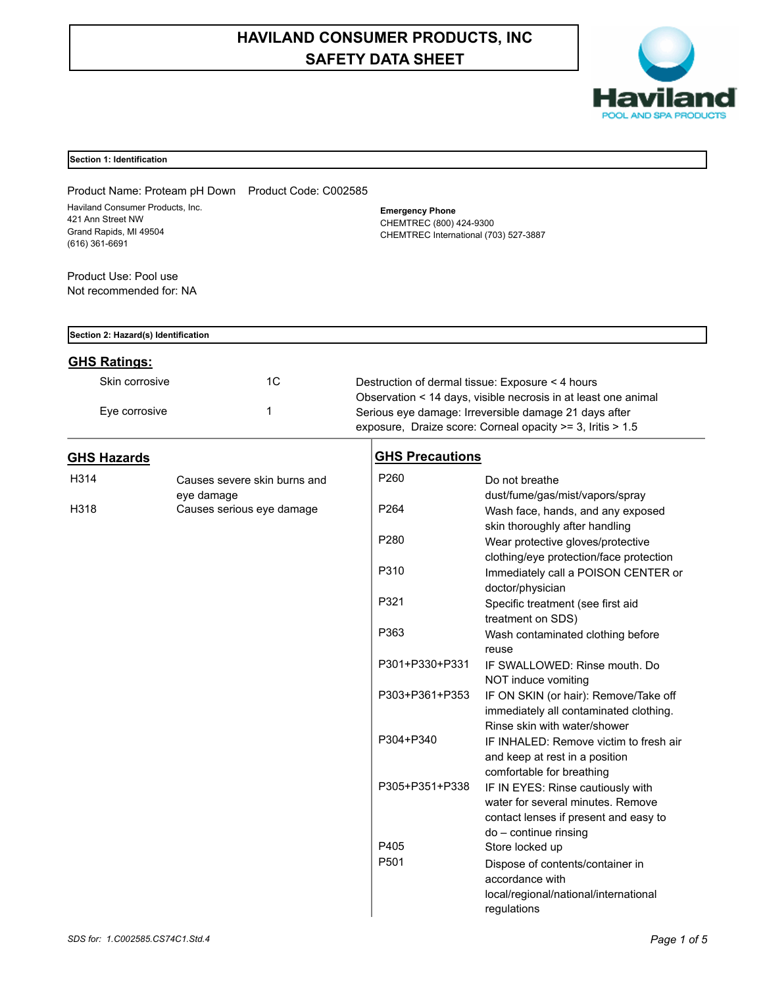# **HAVILAND CONSUMER PRODUCTS, INC SAFETY DATA SHEET**



# **Section 1: Identification**

| Product Name: Proteam pH Down Product Code: C002585<br>Haviland Consumer Products, Inc.<br>421 Ann Street NW<br>Grand Rapids, MI 49504<br>$(616)$ 361-6691<br>Product Use: Pool use<br>Not recommended for: NA |            |                              |                  | <b>Emergency Phone</b><br>CHEMTREC (800) 424-9300<br>CHEMTREC International (703) 527-3887                                                                                            |                                                                                                                                                                       |  |  |
|----------------------------------------------------------------------------------------------------------------------------------------------------------------------------------------------------------------|------------|------------------------------|------------------|---------------------------------------------------------------------------------------------------------------------------------------------------------------------------------------|-----------------------------------------------------------------------------------------------------------------------------------------------------------------------|--|--|
| Section 2: Hazard(s) Identification                                                                                                                                                                            |            |                              |                  |                                                                                                                                                                                       |                                                                                                                                                                       |  |  |
| <b>GHS Ratings:</b>                                                                                                                                                                                            |            |                              |                  |                                                                                                                                                                                       |                                                                                                                                                                       |  |  |
| Skin corrosive                                                                                                                                                                                                 |            | 1C                           |                  | Destruction of dermal tissue: Exposure < 4 hours                                                                                                                                      |                                                                                                                                                                       |  |  |
| Eye corrosive                                                                                                                                                                                                  | 1          |                              |                  | Observation < 14 days, visible necrosis in at least one animal<br>Serious eye damage: Irreversible damage 21 days after<br>exposure, Draize score: Corneal opacity >= 3, Iritis > 1.5 |                                                                                                                                                                       |  |  |
| <b>GHS Hazards</b>                                                                                                                                                                                             |            |                              |                  | <b>GHS Precautions</b>                                                                                                                                                                |                                                                                                                                                                       |  |  |
| H314                                                                                                                                                                                                           |            | Causes severe skin burns and | P260             |                                                                                                                                                                                       | Do not breathe                                                                                                                                                        |  |  |
| H318                                                                                                                                                                                                           | eye damage | Causes serious eye damage    | P <sub>264</sub> |                                                                                                                                                                                       | dust/fume/gas/mist/vapors/spray<br>Wash face, hands, and any exposed<br>skin thoroughly after handling                                                                |  |  |
|                                                                                                                                                                                                                |            |                              | P280             |                                                                                                                                                                                       | Wear protective gloves/protective<br>clothing/eye protection/face protection                                                                                          |  |  |
|                                                                                                                                                                                                                |            |                              | P310             |                                                                                                                                                                                       | Immediately call a POISON CENTER or<br>doctor/physician                                                                                                               |  |  |
|                                                                                                                                                                                                                |            |                              | P321             |                                                                                                                                                                                       | Specific treatment (see first aid<br>treatment on SDS)                                                                                                                |  |  |
|                                                                                                                                                                                                                |            |                              | P363             |                                                                                                                                                                                       | Wash contaminated clothing before<br>reuse                                                                                                                            |  |  |
|                                                                                                                                                                                                                |            |                              |                  | P301+P330+P331                                                                                                                                                                        | IF SWALLOWED: Rinse mouth, Do<br>NOT induce vomiting                                                                                                                  |  |  |
|                                                                                                                                                                                                                |            |                              |                  | P303+P361+P353                                                                                                                                                                        | IF ON SKIN (or hair): Remove/Take off<br>immediately all contaminated clothing.<br>Rinse skin with water/shower                                                       |  |  |
|                                                                                                                                                                                                                |            |                              |                  | P304+P340                                                                                                                                                                             | IF INHALED: Remove victim to fresh air<br>and keep at rest in a position                                                                                              |  |  |
|                                                                                                                                                                                                                |            |                              |                  | P305+P351+P338                                                                                                                                                                        | comfortable for breathing<br>IF IN EYES: Rinse cautiously with<br>water for several minutes. Remove<br>contact lenses if present and easy to<br>do - continue rinsing |  |  |
|                                                                                                                                                                                                                |            |                              | P405             |                                                                                                                                                                                       | Store locked up                                                                                                                                                       |  |  |
|                                                                                                                                                                                                                |            |                              | P501             |                                                                                                                                                                                       | Dispose of contents/container in<br>accordance with<br>local/regional/national/international<br>regulations                                                           |  |  |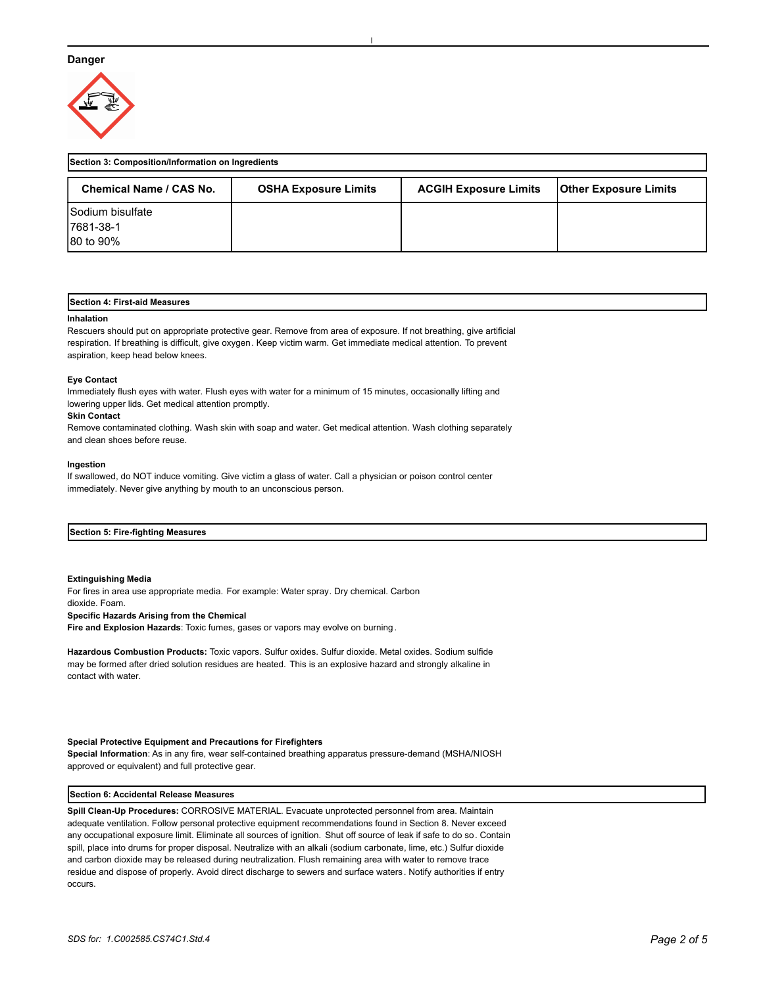# **Danger**



| Section 3: Composition/Information on Ingredients |                             |                              |                              |  |
|---------------------------------------------------|-----------------------------|------------------------------|------------------------------|--|
| Chemical Name / CAS No.                           | <b>OSHA Exposure Limits</b> | <b>ACGIH Exposure Limits</b> | <b>Other Exposure Limits</b> |  |
| <b>Sodium bisulfate</b>                           |                             |                              |                              |  |
| 17681-38-1                                        |                             |                              |                              |  |
| 180 to 90%                                        |                             |                              |                              |  |

# **Section 4: First-aid Measures**

#### **Inhalation**

Rescuers should put on appropriate protective gear. Remove from area of exposure. If not breathing, give artificial respiration. If breathing is difficult, give oxygen. Keep victim warm. Get immediate medical attention. To prevent aspiration, keep head below knees.

## **Eye Contact**

Immediately flush eyes with water. Flush eyes with water for a minimum of 15 minutes, occasionally lifting and lowering upper lids. Get medical attention promptly.

#### **Skin Contact**

Remove contaminated clothing. Wash skin with soap and water. Get medical attention. Wash clothing separately and clean shoes before reuse.

#### **Ingestion**

If swallowed, do NOT induce vomiting. Give victim a glass of water. Call a physician or poison control center immediately. Never give anything by mouth to an unconscious person.

# **Section 5: Fire-fighting Measures**

#### **Extinguishing Media**

For fires in area use appropriate media. For example: Water spray. Dry chemical. Carbon dioxide. Foam. **Specific Hazards Arising from the Chemical Fire and Explosion Hazards**: Toxic fumes, gases or vapors may evolve on burning.

**Hazardous Combustion Products:** Toxic vapors. Sulfur oxides. Sulfur dioxide. Metal oxides. Sodium sulfide may be formed after dried solution residues are heated. This is an explosive hazard and strongly alkaline in contact with water.

## **Special Protective Equipment and Precautions for Firefighters**

**Special Information**: As in any fire, wear self-contained breathing apparatus pressure-demand (MSHA/NIOSH approved or equivalent) and full protective gear.

#### **Section 6: Accidental Release Measures**

**Spill Clean-Up Procedures:** CORROSIVE MATERIAL. Evacuate unprotected personnel from area. Maintain adequate ventilation. Follow personal protective equipment recommendations found in Section 8. Never exceed any occupational exposure limit. Eliminate all sources of ignition. Shut off source of leak if safe to do so. Contain spill, place into drums for proper disposal. Neutralize with an alkali (sodium carbonate, lime, etc.) Sulfur dioxide and carbon dioxide may be released during neutralization. Flush remaining area with water to remove trace residue and dispose of properly. Avoid direct discharge to sewers and surface waters. Notify authorities if entry occurs.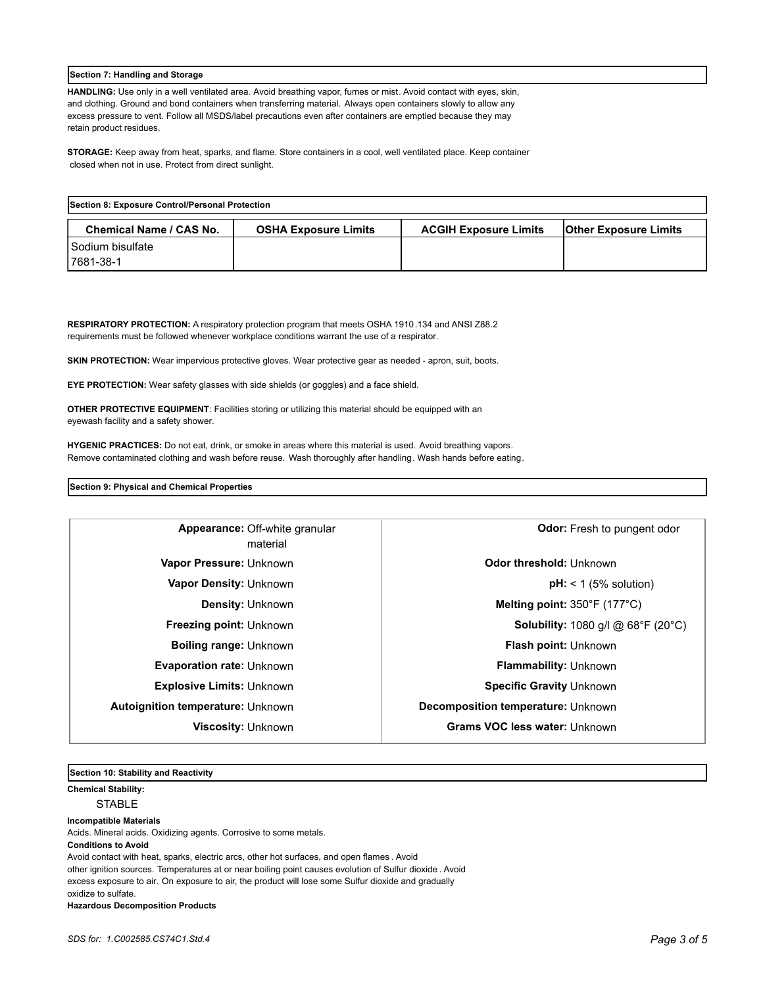# **Section 7: Handling and Storage**

**HANDLING:** Use only in a well ventilated area. Avoid breathing vapor, fumes or mist. Avoid contact with eyes, skin, and clothing. Ground and bond containers when transferring material. Always open containers slowly to allow any excess pressure to vent. Follow all MSDS/label precautions even after containers are emptied because they may retain product residues.

**STORAGE:** Keep away from heat, sparks, and flame. Store containers in a cool, well ventilated place. Keep container closed when not in use. Protect from direct sunlight.

| Section 8: Exposure Control/Personal Protection |                             |                              |                              |  |
|-------------------------------------------------|-----------------------------|------------------------------|------------------------------|--|
| Chemical Name / CAS No.                         | <b>OSHA Exposure Limits</b> | <b>ACGIH Exposure Limits</b> | <b>Other Exposure Limits</b> |  |
| I Sodium bisulfate                              |                             |                              |                              |  |
| 17681-38-1                                      |                             |                              |                              |  |

**RESPIRATORY PROTECTION:** A respiratory protection program that meets OSHA 1910.134 and ANSI Z88.2 requirements must be followed whenever workplace conditions warrant the use of a respirator.

**SKIN PROTECTION:** Wear impervious protective gloves. Wear protective gear as needed - apron, suit, boots.

**EYE PROTECTION:** Wear safety glasses with side shields (or goggles) and a face shield.

**OTHER PROTECTIVE EQUIPMENT**: Facilities storing or utilizing this material should be equipped with an eyewash facility and a safety shower.

**HYGENIC PRACTICES:** Do not eat, drink, or smoke in areas where this material is used. Avoid breathing vapors. Remove contaminated clothing and wash before reuse. Wash thoroughly after handling. Wash hands before eating.

# **Section 9: Physical and Chemical Properties**

| Appearance: Off-white granular<br>material | Odor: Fresh to pungent odor                                   |  |
|--------------------------------------------|---------------------------------------------------------------|--|
| Vapor Pressure: Unknown                    | Odor threshold: Unknown                                       |  |
| <b>Vapor Density: Unknown</b>              | $pH:$ < 1 (5% solution)                                       |  |
| <b>Density: Unknown</b>                    | Melting point: 350°F (177°C)                                  |  |
| <b>Freezing point: Unknown</b>             | <b>Solubility:</b> 1080 g/l @ $68^{\circ}F$ (20 $^{\circ}C$ ) |  |
| <b>Boiling range: Unknown</b>              | Flash point: Unknown                                          |  |
| <b>Evaporation rate: Unknown</b>           | <b>Flammability: Unknown</b>                                  |  |
| <b>Explosive Limits: Unknown</b>           | Specific Gravity Unknown                                      |  |
| <b>Autoignition temperature: Unknown</b>   | Decomposition temperature: Unknown                            |  |
| <b>Viscosity: Unknown</b>                  | Grams VOC less water: Unknown                                 |  |

**Section 10: Stability and Reactivity** 

**Chemical Stability:** STABLE

**Incompatible Materials** 

Acids. Mineral acids. Oxidizing agents. Corrosive to some metals.

**Conditions to Avoid**

Avoid contact with heat, sparks, electric arcs, other hot surfaces, and open flames . Avoid other ignition sources. Temperatures at or near boiling point causes evolution of Sulfur dioxide . Avoid excess exposure to air. On exposure to air, the product will lose some Sulfur dioxide and gradually oxidize to sulfate. **Hazardous Decomposition Products**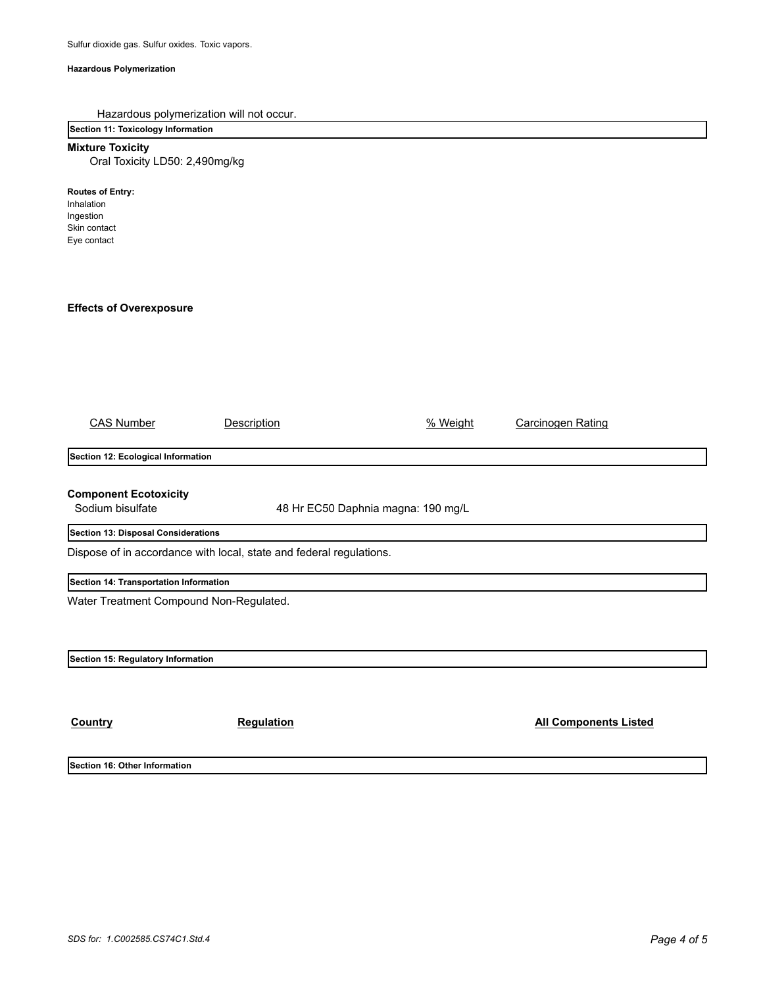# **Hazardous Polymerization**

| Hazardous polymerization will not occur.<br>Section 11: Toxicology Information    |                                    |          |                              |  |  |
|-----------------------------------------------------------------------------------|------------------------------------|----------|------------------------------|--|--|
| <b>Mixture Toxicity</b>                                                           |                                    |          |                              |  |  |
| Oral Toxicity LD50: 2,490mg/kg                                                    |                                    |          |                              |  |  |
| <b>Routes of Entry:</b><br>Inhalation<br>Ingestion<br>Skin contact<br>Eye contact |                                    |          |                              |  |  |
| <b>Effects of Overexposure</b>                                                    |                                    |          |                              |  |  |
|                                                                                   |                                    |          |                              |  |  |
|                                                                                   |                                    |          |                              |  |  |
|                                                                                   |                                    |          |                              |  |  |
|                                                                                   |                                    |          |                              |  |  |
|                                                                                   |                                    |          |                              |  |  |
| <b>CAS Number</b>                                                                 | <b>Description</b>                 | % Weight | <b>Carcinogen Rating</b>     |  |  |
| Section 12: Ecological Information                                                |                                    |          |                              |  |  |
|                                                                                   |                                    |          |                              |  |  |
| <b>Component Ecotoxicity</b><br>Sodium bisulfate                                  | 48 Hr EC50 Daphnia magna: 190 mg/L |          |                              |  |  |
| Section 13: Disposal Considerations                                               |                                    |          |                              |  |  |
| Dispose of in accordance with local, state and federal regulations.               |                                    |          |                              |  |  |
| Section 14: Transportation Information                                            |                                    |          |                              |  |  |
| Water Treatment Compound Non-Regulated.                                           |                                    |          |                              |  |  |
|                                                                                   |                                    |          |                              |  |  |
|                                                                                   |                                    |          |                              |  |  |
| Section 15: Regulatory Information                                                |                                    |          |                              |  |  |
|                                                                                   |                                    |          |                              |  |  |
|                                                                                   |                                    |          |                              |  |  |
| Country                                                                           | Regulation                         |          | <b>All Components Listed</b> |  |  |
|                                                                                   |                                    |          |                              |  |  |
| Section 16: Other Information                                                     |                                    |          |                              |  |  |